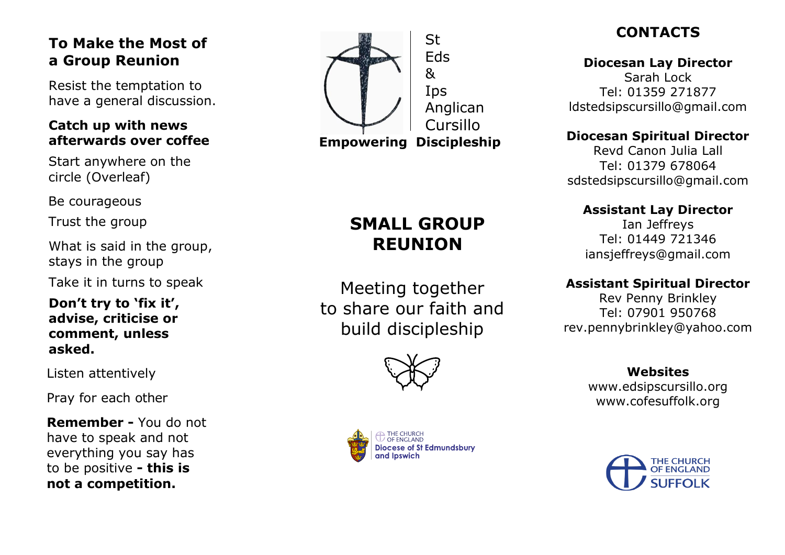# **To Make the Most of a Group Reunion**

Resist the temptation to have a general discussion .

## **Catch up with news afterwards over coffee**

Start anywhere on the circle ( Overleaf)

Be courageous

Trust the group

What is said in the group , stays in the group

Take it in turns to speak

**Don't try to 'fix it', advise, criticise or comment , unless asked .**

Listen attentively

Pray for each other

**Remember -** You do not have to speak and not everything you say has to be positive **- this is not a competition.**



# **CONTACTS**

**Diocesan Lay Director** Sarah Lock Tel: 01359 271877 [ldstedsipscursillo@gmail.com](mailto:ldstedsipscursillo@gmail.com)

### **Diocesan Spiritual Director**

Revd Canon Julia Lall Tel: 01379 678064 [sdstedsipscursillo@gmail.com](mailto:sdstedsipscursillo@gmail.com)

### **Assistant Lay Director**

Ian Jeffreys Tel: 01449 721346 [iansjeffreys@gmail.com](mailto:iansjeffreys@gmail.com)

### **Assistant Spiritual Director**

Rev Penny Brinkley Tel: 07901 950768 [rev.pennybrinkley@yahoo.com](mailto:rev.pennybrinkley@yahoo.com)

> **Website s** [www.edsipscursillo.org](http://www.edsipscursillo.org/) [www.cofesuffolk.org](http://www.cofesuffolk.org/)



# **SMALL GROUP REUNION**

Meeting together to share our faith and build discipleship



OF ENGLAND

and Ipswich

Diocese of St Edmundsbury